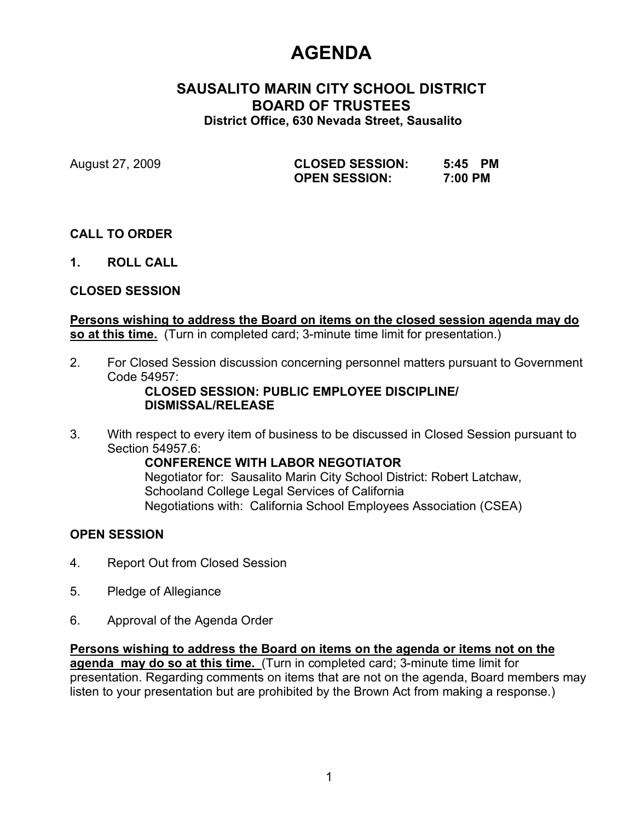# **AGENDA**

## **SAUSALITO MARIN CITY SCHOOL DISTRICT BOARD OF TRUSTEES District Office, 630 Nevada Street, Sausalito**

August 27, 2009 **CLOSED SESSION: 5:45 PM OPEN SESSION: 7:00 PM**

# **CALL TO ORDER**

**1. ROLL CALL**

## **CLOSED SESSION**

### **Persons wishing to address the Board on items on the closed session agenda may do so at this time.** (Turn in completed card; 3-minute time limit for presentation.)

2. For Closed Session discussion concerning personnel matters pursuant to Government Code 54957:

### **CLOSED SESSION: PUBLIC EMPLOYEE DISCIPLINE/ DISMISSAL/RELEASE**

3. With respect to every item of business to be discussed in Closed Session pursuant to Section 54957.6:

**CONFERENCE WITH LABOR NEGOTIATOR** Negotiator for: Sausalito Marin City School District: Robert Latchaw, Schooland College Legal Services of California Negotiations with: California School Employees Association (CSEA)

## **OPEN SESSION**

- 4. Report Out from Closed Session
- 5. Pledge of Allegiance
- 6. Approval of the Agenda Order

**Persons wishing to address the Board on items on the agenda or items not on the agenda may do so at this time.** (Turn in completed card; 3-minute time limit for presentation. Regarding comments on items that are not on the agenda, Board members may listen to your presentation but are prohibited by the Brown Act from making a response.)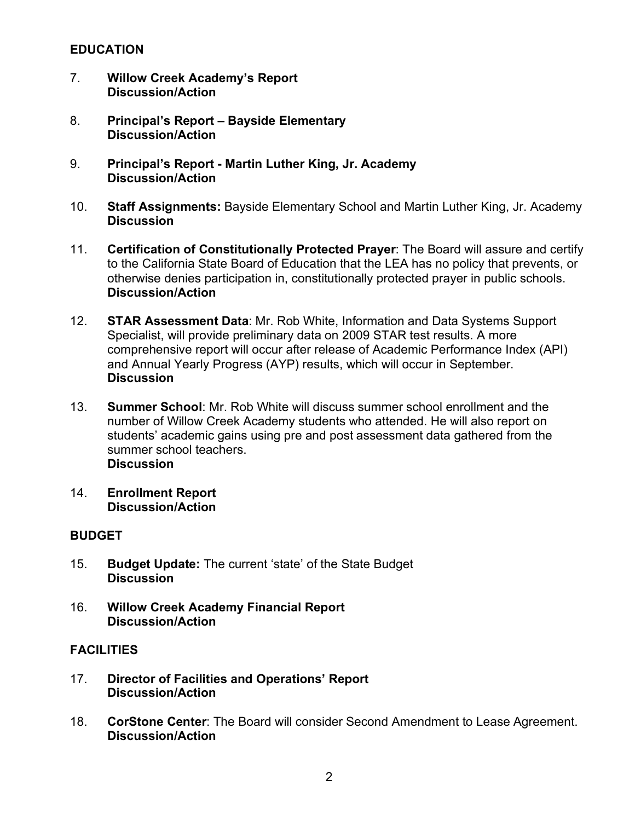### **EDUCATION**

- 7. **Willow Creek Academy's Report Discussion/Action**
- 8. **Principal's Report Bayside Elementary Discussion/Action**
- 9. **Principal's Report - Martin Luther King, Jr. Academy Discussion/Action**
- 10. **Staff Assignments:** Bayside Elementary School and Martin Luther King, Jr. Academy **Discussion**
- 11. **Certification of Constitutionally Protected Prayer**: The Board will assure and certify to the California State Board of Education that the LEA has no policy that prevents, or otherwise denies participation in, constitutionally protected prayer in public schools. **Discussion/Action**
- 12. **STAR Assessment Data**: Mr. Rob White, Information and Data Systems Support Specialist, will provide preliminary data on 2009 STAR test results. A more comprehensive report will occur after release of Academic Performance Index (API) and Annual Yearly Progress (AYP) results, which will occur in September. **Discussion**
- 13. **Summer School**: Mr. Rob White will discuss summer school enrollment and the number of Willow Creek Academy students who attended. He will also report on students' academic gains using pre and post assessment data gathered from the summer school teachers. **Discussion**
- 14. **Enrollment Report Discussion/Action**

## **BUDGET**

- 15. **Budget Update:** The current 'state' of the State Budget **Discussion**
- 16. **Willow Creek Academy Financial Report Discussion/Action**

## **FACILITIES**

- 17. **Director of Facilities and Operations' Report Discussion/Action**
- 18. **CorStone Center**: The Board will consider Second Amendment to Lease Agreement. **Discussion/Action**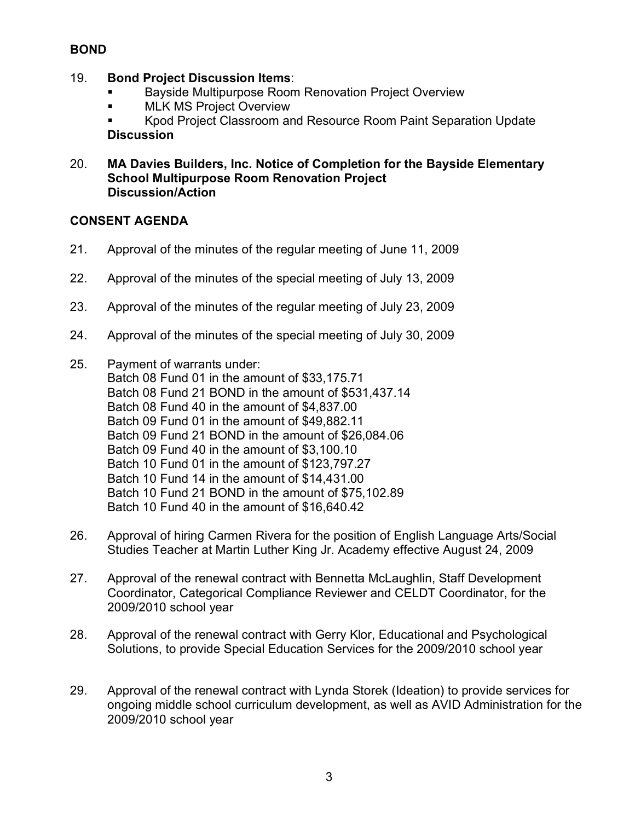# **BOND**

### 19. **Bond Project Discussion Items**:

- Bayside Multipurpose Room Renovation Project Overview
- MLK MS Project Overview

 Kpod Project Classroom and Resource Room Paint Separation Update **Discussion**

### 20. **MA Davies Builders, Inc. Notice of Completion for the Bayside Elementary School Multipurpose Room Renovation Project Discussion/Action**

## **CONSENT AGENDA**

- 21. Approval of the minutes of the regular meeting of June 11, 2009
- 22. Approval of the minutes of the special meeting of July 13, 2009
- 23. Approval of the minutes of the regular meeting of July 23, 2009
- 24. Approval of the minutes of the special meeting of July 30, 2009
- 25. Payment of warrants under: Batch 08 Fund 01 in the amount of \$33,175.71 Batch 08 Fund 21 BOND in the amount of \$531,437.14 Batch 08 Fund 40 in the amount of \$4,837.00 Batch 09 Fund 01 in the amount of \$49,882.11 Batch 09 Fund 21 BOND in the amount of \$26,084.06 Batch 09 Fund 40 in the amount of \$3,100.10 Batch 10 Fund 01 in the amount of \$123,797.27 Batch 10 Fund 14 in the amount of \$14,431.00 Batch 10 Fund 21 BOND in the amount of \$75,102.89 Batch 10 Fund 40 in the amount of \$16,640.42
- 26. Approval of hiring Carmen Rivera for the position of English Language Arts/Social Studies Teacher at Martin Luther King Jr. Academy effective August 24, 2009
- 27. Approval of the renewal contract with Bennetta McLaughlin, Staff Development Coordinator, Categorical Compliance Reviewer and CELDT Coordinator, for the 2009/2010 school year
- 28. Approval of the renewal contract with Gerry Klor, Educational and Psychological Solutions, to provide Special Education Services for the 2009/2010 school year
- 29. Approval of the renewal contract with Lynda Storek (Ideation) to provide services for ongoing middle school curriculum development, as well as AVID Administration for the 2009/2010 school year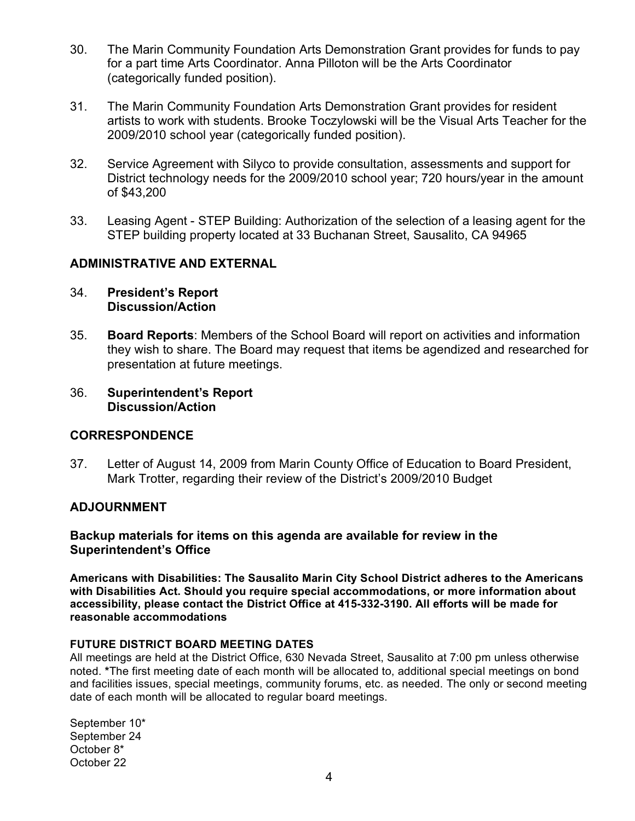- 30. The Marin Community Foundation Arts Demonstration Grant provides for funds to pay for a part time Arts Coordinator. Anna Pilloton will be the Arts Coordinator (categorically funded position).
- 31. The Marin Community Foundation Arts Demonstration Grant provides for resident artists to work with students. Brooke Toczylowski will be the Visual Arts Teacher for the 2009/2010 school year (categorically funded position).
- 32. Service Agreement with Silyco to provide consultation, assessments and support for District technology needs for the 2009/2010 school year; 720 hours/year in the amount of \$43,200
- 33. Leasing Agent STEP Building: Authorization of the selection of a leasing agent for the STEP building property located at 33 Buchanan Street, Sausalito, CA 94965

### **ADMINISTRATIVE AND EXTERNAL**

- 34. **President's Report Discussion/Action**
- 35. **Board Reports**: Members of the School Board will report on activities and information they wish to share. The Board may request that items be agendized and researched for presentation at future meetings.
- 36. **Superintendent's Report Discussion/Action**

### **CORRESPONDENCE**

37. Letter of August 14, 2009 from Marin County Office of Education to Board President, Mark Trotter, regarding their review of the District's 2009/2010 Budget

### **ADJOURNMENT**

**Backup materials for items on this agenda are available for review in the Superintendent's Office**

**Americans with Disabilities: The Sausalito Marin City School District adheres to the Americans with Disabilities Act. Should you require special accommodations, or more information about accessibility, please contact the District Office at 415-332-3190. All efforts will be made for reasonable accommodations**

### **FUTURE DISTRICT BOARD MEETING DATES**

All meetings are held at the District Office, 630 Nevada Street, Sausalito at 7:00 pm unless otherwise noted. **\***The first meeting date of each month will be allocated to, additional special meetings on bond and facilities issues, special meetings, community forums, etc. as needed. The only or second meeting date of each month will be allocated to regular board meetings.

September 10\* September 24 October 8\* October 22